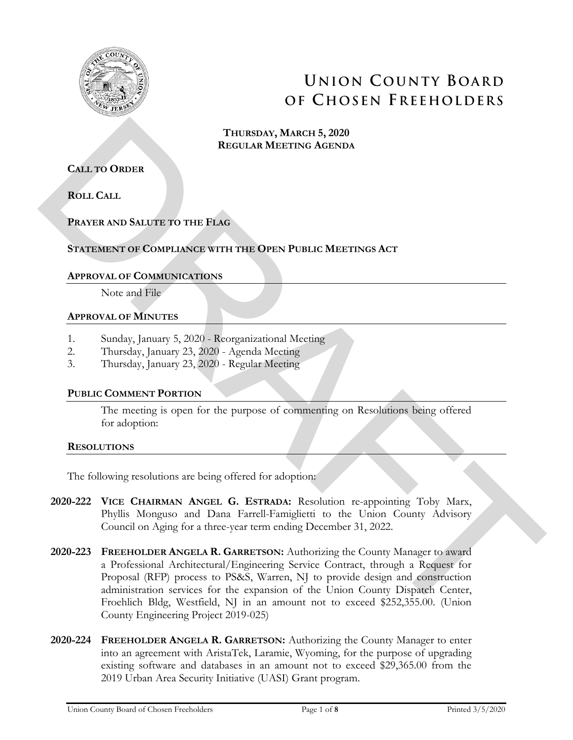

# **UNION COUNTY BOARD OF CHOSEN FREEHOLDERS**

**THURSDAY, MARCH 5, 2020 REGULAR MEETING AGENDA**

**CALL TO ORDER**

**ROLL CALL** 

# **PRAYER AND SALUTE TO THE FLAG**

## **STATEMENT OF COMPLIANCE WITH THE OPEN PUBLIC MEETINGS ACT**

## **APPROVAL OF COMMUNICATIONS**

Note and File

## **APPROVAL OF MINUTES**

- 1. Sunday, January 5, 2020 Reorganizational Meeting
- 2. Thursday, January 23, 2020 Agenda Meeting
- 3. Thursday, January 23, 2020 Regular Meeting

## **PUBLIC COMMENT PORTION**

The meeting is open for the purpose of commenting on Resolutions being offered for adoption:

## **RESOLUTIONS**

The following resolutions are being offered for adoption:

- **2020-222 VICE CHAIRMAN ANGEL G. ESTRADA:** Resolution re-appointing Toby Marx, Phyllis Monguso and Dana Farrell-Famiglietti to the Union County Advisory Council on Aging for a three-year term ending December 31, 2022.
- **2020-223 FREEHOLDER ANGELA R. GARRETSON:** Authorizing the County Manager to award a Professional Architectural/Engineering Service Contract, through a Request for Proposal (RFP) process to PS&S, Warren, NJ to provide design and construction administration services for the expansion of the Union County Dispatch Center, Froehlich Bldg, Westfield, NJ in an amount not to exceed \$252,355.00. (Union County Engineering Project 2019-025) THEREDAY, MARCH 5, 2020<br> **ECOLAR MEETING AGENDA**<br> **ROLL CALL**<br> **ROLL CALL**<br> **ROLL CALL**<br> **PRAFTR AND SALUTE TO THE FLAG**<br> **STATEMENTO OF COMMUNISME WITH THE OPEN-PUBLIC MEETINGS ACT**<br> **APPROVAL. OF MARTIFIES**<br> **APPROVAL. O** 
	- **2020-224 FREEHOLDER ANGELA R. GARRETSON:** Authorizing the County Manager to enter into an agreement with AristaTek, Laramie, Wyoming, for the purpose of upgrading existing software and databases in an amount not to exceed \$29,365.00 from the 2019 Urban Area Security Initiative (UASI) Grant program.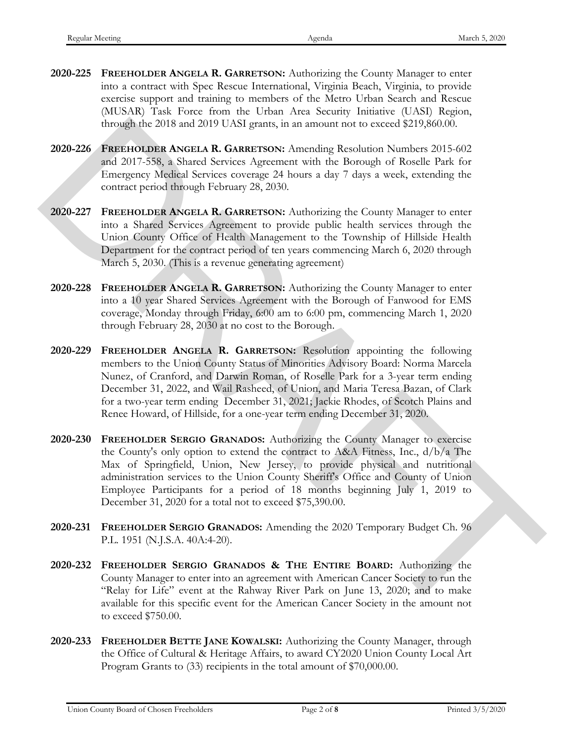- **2020-225 FREEHOLDER ANGELA R. GARRETSON:** Authorizing the County Manager to enter into a contract with Spec Rescue International, Virginia Beach, Virginia, to provide exercise support and training to members of the Metro Urban Search and Rescue (MUSAR) Task Force from the Urban Area Security Initiative (UASI) Region, through the 2018 and 2019 UASI grants, in an amount not to exceed \$219,860.00.
- **2020-226 FREEHOLDER ANGELA R. GARRETSON:** Amending Resolution Numbers 2015-602 and 2017-558, a Shared Services Agreement with the Borough of Roselle Park for Emergency Medical Services coverage 24 hours a day 7 days a week, extending the contract period through February 28, 2030.
- **2020-227 FREEHOLDER ANGELA R. GARRETSON:** Authorizing the County Manager to enter into a Shared Services Agreement to provide public health services through the Union County Office of Health Management to the Township of Hillside Health Department for the contract period of ten years commencing March 6, 2020 through March 5, 2030. (This is a revenue generating agreement)
- **2020-228 FREEHOLDER ANGELA R. GARRETSON:** Authorizing the County Manager to enter into a 10 year Shared Services Agreement with the Borough of Fanwood for EMS coverage, Monday through Friday, 6:00 am to 6:00 pm, commencing March 1, 2020 through February 28, 2030 at no cost to the Borough.
- **2020-229 FREEHOLDER ANGELA R. GARRETSON:** Resolution appointing the following members to the Union County Status of Minorities Advisory Board: Norma Marcela Nunez, of Cranford, and Darwin Roman, of Roselle Park for a 3-year term ending December 31, 2022, and Wail Rasheed, of Union, and Maria Teresa Bazan, of Clark for a two-year term ending December 31, 2021; Jackie Rhodes, of Scotch Plains and Renee Howard, of Hillside, for a one-year term ending December 31, 2020. through the 2018 and 2019 UANI grants, at an amount not to exceed \$219,860.00.<br> **2020-226** Fact Hoffen A Accore (Appendix the information Numbers 2016 602 and 2017-558, a Share Secretion Agent and in Groups) of Roscile Pa
	- **2020-230 FREEHOLDER SERGIO GRANADOS:** Authorizing the County Manager to exercise the County's only option to extend the contract to A&A Fitness, Inc., d/b/a The Max of Springfield, Union, New Jersey, to provide physical and nutritional administration services to the Union County Sheriff's Office and County of Union Employee Participants for a period of 18 months beginning July 1, 2019 to December 31, 2020 for a total not to exceed \$75,390.00.
	- **2020-231 FREEHOLDER SERGIO GRANADOS:** Amending the 2020 Temporary Budget Ch. 96 P.L. 1951 (N.J.S.A. 40A:4-20).
	- **2020-232 FREEHOLDER SERGIO GRANADOS & THE ENTIRE BOARD:** Authorizing the County Manager to enter into an agreement with American Cancer Society to run the "Relay for Life" event at the Rahway River Park on June 13, 2020; and to make available for this specific event for the American Cancer Society in the amount not to exceed \$750.00.
	- **2020-233 FREEHOLDER BETTE JANE KOWALSKI:** Authorizing the County Manager, through the Office of Cultural & Heritage Affairs, to award CY2020 Union County Local Art Program Grants to (33) recipients in the total amount of \$70,000.00.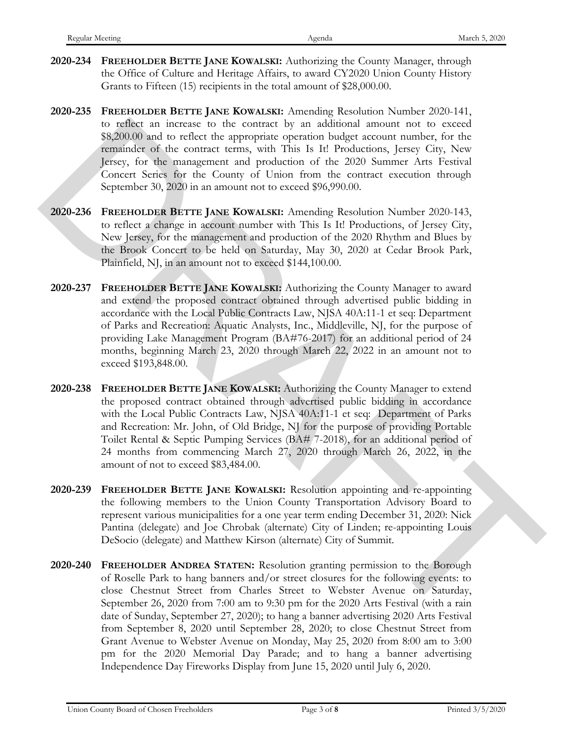- **2020-234 FREEHOLDER BETTE JANE KOWALSKI:** Authorizing the County Manager, through the Office of Culture and Heritage Affairs, to award CY2020 Union County History Grants to Fifteen (15) recipients in the total amount of \$28,000.00.
- **2020-235 FREEHOLDER BETTE JANE KOWALSKI:** Amending Resolution Number 2020-141, to reflect an increase to the contract by an additional amount not to exceed \$8,200.00 and to reflect the appropriate operation budget account number, for the remainder of the contract terms, with This Is It! Productions, Jersey City, New Jersey, for the management and production of the 2020 Summer Arts Festival Concert Series for the County of Union from the contract execution through September 30, 2020 in an amount not to exceed \$96,990.00.
- **2020-236 FREEHOLDER BETTE JANE KOWALSKI:** Amending Resolution Number 2020-143, to reflect a change in account number with This Is It! Productions, of Jersey City, New Jersey, for the management and production of the 2020 Rhythm and Blues by the Brook Concert to be held on Saturday, May 30, 2020 at Cedar Brook Park, Plainfield, NJ, in an amount not to exceed \$144,100.00.
- **2020-237 FREEHOLDER BETTE JANE KOWALSKI:** Authorizing the County Manager to award and extend the proposed contract obtained through advertised public bidding in accordance with the Local Public Contracts Law, NJSA 40A:11-1 et seq: Department of Parks and Recreation: Aquatic Analysts, Inc., Middleville, NJ, for the purpose of providing Lake Management Program (BA#76-2017) for an additional period of 24 months, beginning March 23, 2020 through March 22, 2022 in an amount not to exceed \$193,848.00. no eriket an ancesce lo the contract by an additional amount to to exceed<br>
S8,200.00 and to reflect the appropriate operation budget account aumber, for the<br>
remainder of the uservative may with This Is 11 Preshorions, J
	- **2020-238 FREEHOLDER BETTE JANE KOWALSKI:** Authorizing the County Manager to extend the proposed contract obtained through advertised public bidding in accordance with the Local Public Contracts Law, NJSA 40A:11-1 et seq: Department of Parks and Recreation: Mr. John, of Old Bridge, NJ for the purpose of providing Portable Toilet Rental & Septic Pumping Services (BA# 7-2018), for an additional period of 24 months from commencing March 27, 2020 through March 26, 2022, in the amount of not to exceed \$83,484.00.
	- **2020-239 FREEHOLDER BETTE JANE KOWALSKI:** Resolution appointing and re-appointing the following members to the Union County Transportation Advisory Board to represent various municipalities for a one year term ending December 31, 2020: Nick Pantina (delegate) and Joe Chrobak (alternate) City of Linden; re-appointing Louis DeSocio (delegate) and Matthew Kirson (alternate) City of Summit.
	- **2020-240 FREEHOLDER ANDREA STATEN:** Resolution granting permission to the Borough of Roselle Park to hang banners and/or street closures for the following events: to close Chestnut Street from Charles Street to Webster Avenue on Saturday, September 26, 2020 from 7:00 am to 9:30 pm for the 2020 Arts Festival (with a rain date of Sunday, September 27, 2020); to hang a banner advertising 2020 Arts Festival from September 8, 2020 until September 28, 2020; to close Chestnut Street from Grant Avenue to Webster Avenue on Monday, May 25, 2020 from 8:00 am to 3:00 pm for the 2020 Memorial Day Parade; and to hang a banner advertising Independence Day Fireworks Display from June 15, 2020 until July 6, 2020.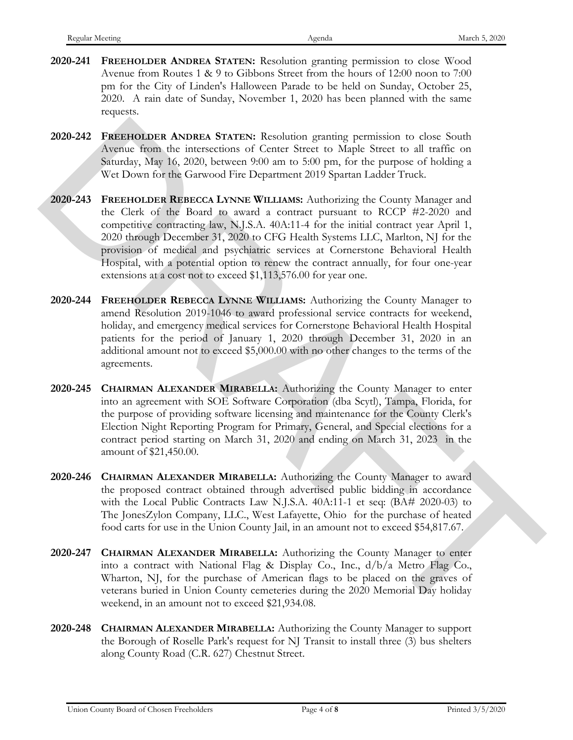- **2020-241 FREEHOLDER ANDREA STATEN:** Resolution granting permission to close Wood Avenue from Routes 1 & 9 to Gibbons Street from the hours of 12:00 noon to 7:00 pm for the City of Linden's Halloween Parade to be held on Sunday, October 25, 2020. A rain date of Sunday, November 1, 2020 has been planned with the same requests.
- **2020-242 FREEHOLDER ANDREA STATEN:** Resolution granting permission to close South Avenue from the intersections of Center Street to Maple Street to all traffic on Saturday, May 16, 2020, between 9:00 am to 5:00 pm, for the purpose of holding a Wet Down for the Garwood Fire Department 2019 Spartan Ladder Truck.
- **2020-243 FREEHOLDER REBECCA LYNNE WILLIAMS:** Authorizing the County Manager and the Clerk of the Board to award a contract pursuant to RCCP #2-2020 and competitive contracting law, N.J.S.A. 40A:11-4 for the initial contract year April 1, 2020 through December 31, 2020 to CFG Health Systems LLC, Marlton, NJ for the provision of medical and psychiatric services at Cornerstone Behavioral Health Hospital, with a potential option to renew the contract annually, for four one-year extensions at a cost not to exceed \$1,113,576.00 for year one. 2020-242 PREEFINDIDER ANDREA STATENS Resolution generation to close South Assume From the interactions of Contre Steam to the form to the Herican SMP in the SHE to the SHE to the SHE to the SHE of the Boston for the Gerek
	- **2020-244 FREEHOLDER REBECCA LYNNE WILLIAMS:** Authorizing the County Manager to amend Resolution 2019-1046 to award professional service contracts for weekend, holiday, and emergency medical services for Cornerstone Behavioral Health Hospital patients for the period of January 1, 2020 through December 31, 2020 in an additional amount not to exceed \$5,000.00 with no other changes to the terms of the agreements.
	- **2020-245 CHAIRMAN ALEXANDER MIRABELLA:** Authorizing the County Manager to enter into an agreement with SOE Software Corporation (dba Scytl), Tampa, Florida, for the purpose of providing software licensing and maintenance for the County Clerk's Election Night Reporting Program for Primary, General, and Special elections for a contract period starting on March 31, 2020 and ending on March 31, 2023 in the amount of \$21,450.00.
	- **2020-246 CHAIRMAN ALEXANDER MIRABELLA:** Authorizing the County Manager to award the proposed contract obtained through advertised public bidding in accordance with the Local Public Contracts Law N.J.S.A. 40A:11-1 et seq: (BA# 2020-03) to The JonesZylon Company, LLC., West Lafayette, Ohio for the purchase of heated food carts for use in the Union County Jail, in an amount not to exceed \$54,817.67.
	- **2020-247 CHAIRMAN ALEXANDER MIRABELLA:** Authorizing the County Manager to enter into a contract with National Flag & Display Co., Inc., d/b/a Metro Flag Co., Wharton, NJ, for the purchase of American flags to be placed on the graves of veterans buried in Union County cemeteries during the 2020 Memorial Day holiday weekend, in an amount not to exceed \$21,934.08.
	- **2020-248 CHAIRMAN ALEXANDER MIRABELLA:** Authorizing the County Manager to support the Borough of Roselle Park's request for NJ Transit to install three (3) bus shelters along County Road (C.R. 627) Chestnut Street.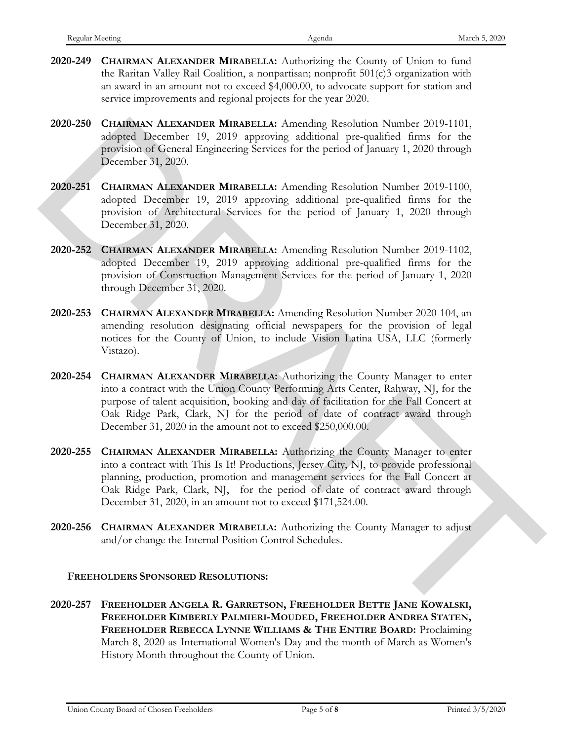- **2020-249 CHAIRMAN ALEXANDER MIRABELLA:** Authorizing the County of Union to fund the Raritan Valley Rail Coalition, a nonpartisan; nonprofit 501(c)3 organization with an award in an amount not to exceed \$4,000.00, to advocate support for station and service improvements and regional projects for the year 2020.
- **2020-250 CHAIRMAN ALEXANDER MIRABELLA:** Amending Resolution Number 2019-1101, adopted December 19, 2019 approving additional pre-qualified firms for the provision of General Engineering Services for the period of January 1, 2020 through December 31, 2020.
- **2020-251 CHAIRMAN ALEXANDER MIRABELLA:** Amending Resolution Number 2019-1100, adopted December 19, 2019 approving additional pre-qualified firms for the provision of Architectural Services for the period of January 1, 2020 through December 31, 2020.
- **2020-252 CHAIRMAN ALEXANDER MIRABELLA:** Amending Resolution Number 2019-1102, adopted December 19, 2019 approving additional pre-qualified firms for the provision of Construction Management Services for the period of January 1, 2020 through December 31, 2020.
- **2020-253 CHAIRMAN ALEXANDER MIRABELLA:** Amending Resolution Number 2020-104, an amending resolution designating official newspapers for the provision of legal notices for the County of Union, to include Vision Latina USA, LLC (formerly Vistazo).
- **2020-254 CHAIRMAN ALEXANDER MIRABELLA:** Authorizing the County Manager to enter into a contract with the Union County Performing Arts Center, Rahway, NJ, for the purpose of talent acquisition, booking and day of facilitation for the Fall Concert at Oak Ridge Park, Clark, NJ for the period of date of contract award through December 31, 2020 in the amount not to exceed \$250,000.00.
- **2020-255 CHAIRMAN ALEXANDER MIRABELLA:** Authorizing the County Manager to enter into a contract with This Is It! Productions, Jersey City, NJ, to provide professional planning, production, promotion and management services for the Fall Concert at Oak Ridge Park, Clark, NJ, for the period of date of contract award through December 31, 2020, in an amount not to exceed \$171,524.00. 2020-230 CHARBANA ALEXANDER MiranistLA: Amendag Resolution Number 2019-1101, properties (2019)<br>1970-2020 CHARBANA ALEXANDER MiranitLA: Amendag Resolution Variety 2019 1101, provided from for the provident Georgia Propinci
	- **2020-256 CHAIRMAN ALEXANDER MIRABELLA:** Authorizing the County Manager to adjust and/or change the Internal Position Control Schedules.

#### **FREEHOLDERS SPONSORED RESOLUTIONS:**

**2020-257 FREEHOLDER ANGELA R. GARRETSON, FREEHOLDER BETTE JANE KOWALSKI, FREEHOLDER KIMBERLY PALMIERI-MOUDED, FREEHOLDER ANDREA STATEN, FREEHOLDER REBECCA LYNNE WILLIAMS & THE ENTIRE BOARD:** Proclaiming March 8, 2020 as International Women's Day and the month of March as Women's History Month throughout the County of Union.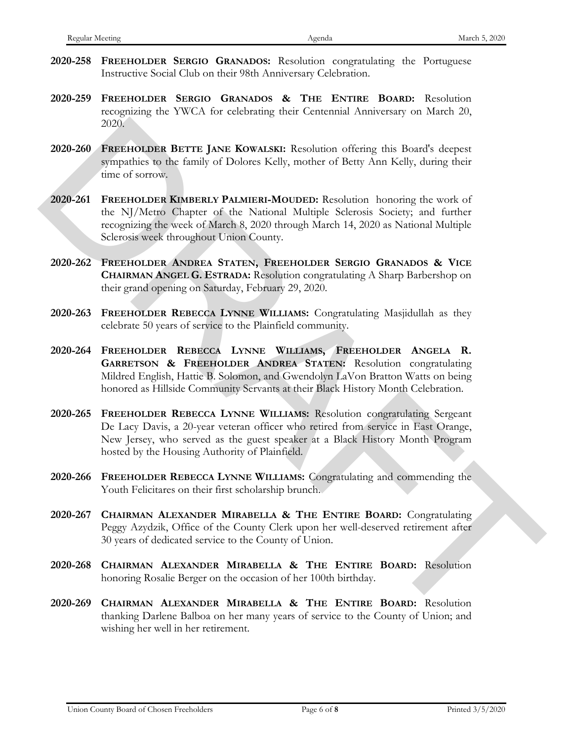- **2020-258 FREEHOLDER SERGIO GRANADOS:** Resolution congratulating the Portuguese Instructive Social Club on their 98th Anniversary Celebration.
- **2020-259 FREEHOLDER SERGIO GRANADOS & THE ENTIRE BOARD:** Resolution recognizing the YWCA for celebrating their Centennial Anniversary on March 20, 2020.
- **2020-260 FREEHOLDER BETTE JANE KOWALSKI:** Resolution offering this Board's deepest sympathies to the family of Dolores Kelly, mother of Betty Ann Kelly, during their time of sorrow.
- **2020-261 FREEHOLDER KIMBERLY PALMIERI-MOUDED:** Resolution honoring the work of the NJ/Metro Chapter of the National Multiple Sclerosis Society; and further recognizing the week of March 8, 2020 through March 14, 2020 as National Multiple Sclerosis week throughout Union County. 2020-266 **Ferrarito BETTE JANE KOWLESS!** Resolution offering this Board's despeat sympathis to the family of Deloces Kelly, mother of ficery Ann Kelly, during their<br>
2020-261 **FERRITOLDER KOWLESS!** Resolution Internal Rev
	- **2020-262 FREEHOLDER ANDREA STATEN, FREEHOLDER SERGIO GRANADOS & VICE CHAIRMAN ANGEL G. ESTRADA:** Resolution congratulating A Sharp Barbershop on their grand opening on Saturday, February 29, 2020.
	- **2020-263 FREEHOLDER REBECCA LYNNE WILLIAMS:** Congratulating Masjidullah as they celebrate 50 years of service to the Plainfield community.
	- **2020-264 FREEHOLDER REBECCA LYNNE WILLIAMS, FREEHOLDER ANGELA R. GARRETSON & FREEHOLDER ANDREA STATEN:** Resolution congratulating Mildred English, Hattie B. Solomon, and Gwendolyn LaVon Bratton Watts on being honored as Hillside Community Servants at their Black History Month Celebration.
	- **2020-265 FREEHOLDER REBECCA LYNNE WILLIAMS:** Resolution congratulating Sergeant De Lacy Davis, a 20-year veteran officer who retired from service in East Orange, New Jersey, who served as the guest speaker at a Black History Month Program hosted by the Housing Authority of Plainfield.
	- **2020-266 FREEHOLDER REBECCA LYNNE WILLIAMS:** Congratulating and commending the Youth Felicitares on their first scholarship brunch.
	- **2020-267 CHAIRMAN ALEXANDER MIRABELLA & THE ENTIRE BOARD:** Congratulating Peggy Azydzik, Office of the County Clerk upon her well-deserved retirement after 30 years of dedicated service to the County of Union.
	- **2020-268 CHAIRMAN ALEXANDER MIRABELLA & THE ENTIRE BOARD:** Resolution honoring Rosalie Berger on the occasion of her 100th birthday.
	- **2020-269 CHAIRMAN ALEXANDER MIRABELLA & THE ENTIRE BOARD:** Resolution thanking Darlene Balboa on her many years of service to the County of Union; and wishing her well in her retirement.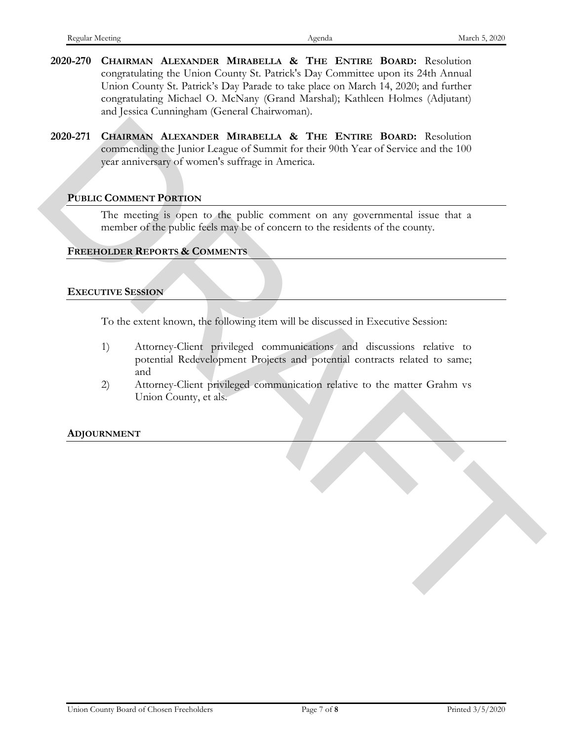- **2020-270 CHAIRMAN ALEXANDER MIRABELLA & THE ENTIRE BOARD:** Resolution congratulating the Union County St. Patrick's Day Committee upon its 24th Annual Union County St. Patrick's Day Parade to take place on March 14, 2020; and further congratulating Michael O. McNany (Grand Marshal); Kathleen Holmes (Adjutant) and Jessica Cunningham (General Chairwoman).
- **2020-271 CHAIRMAN ALEXANDER MIRABELLA & THE ENTIRE BOARD:** Resolution commending the Junior League of Summit for their 90th Year of Service and the 100 year anniversary of women's suffrage in America. 2020-271 CHAIRMAN ALEXANDER MIRABELLA & THE ENTIRE BOARD: Resolution<br>
commentainged under the flow Forgian of Sometic surface in the flow 700 Neuro Service and the 100<br>
year analyticity units surface surface in America.<br>

## **PUBLIC COMMENT PORTION**

The meeting is open to the public comment on any governmental issue that a member of the public feels may be of concern to the residents of the county.

## **FREEHOLDER REPORTS & COMMENTS**

#### **EXECUTIVE SESSION**

To the extent known, the following item will be discussed in Executive Session:

- 1) Attorney-Client privileged communications and discussions relative to potential Redevelopment Projects and potential contracts related to same; and
- 2) Attorney-Client privileged communication relative to the matter Grahm vs Union County, et als.

## **ADJOURNMENT**